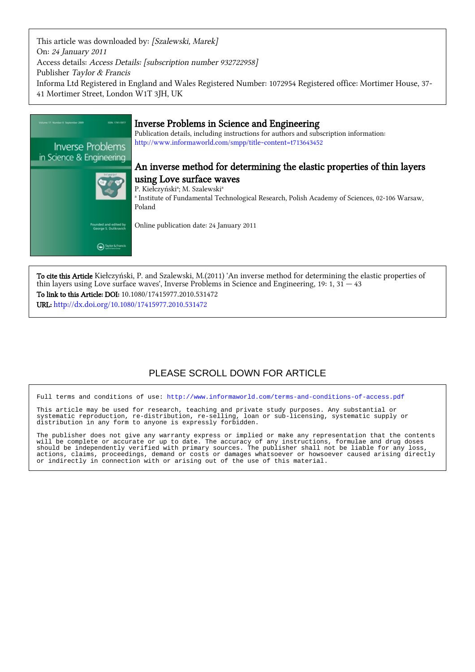This article was downloaded by: [Szalewski, Marek] On: 24 January 2011 Access details: Access Details: [subscription number 932722958] Publisher Taylor & Francis Informa Ltd Registered in England and Wales Registered Number: 1072954 Registered office: Mortimer House, 37- 41 Mortimer Street, London W1T 3JH, UK



thin layers using Love surface waves', Inverse Problems in Science and Engineering,  $19: 1, 31 - 43$ To link to this Article: DOI: 10.1080/17415977.2010.531472

URL: <http://dx.doi.org/10.1080/17415977.2010.531472>

# PLEASE SCROLL DOWN FOR ARTICLE

Full terms and conditions of use:<http://www.informaworld.com/terms-and-conditions-of-access.pdf>

This article may be used for research, teaching and private study purposes. Any substantial or systematic reproduction, re-distribution, re-selling, loan or sub-licensing, systematic supply or distribution in any form to anyone is expressly forbidden.<br>distribution in any form to anyone is expressly forbidden.

The publisher does not give any warranty express or implied or make any representation that the contents will be complete or accurate or up to date. The accuracy of any instructions, formulae and drug doses should be independently verified with primary sources. The publisher shall not be liable for any loss, actions, claims, proceedings, demand or costs or damages whatsoever or howsoever caused arising directly or indirectly in connection with or arising out of the use of this material.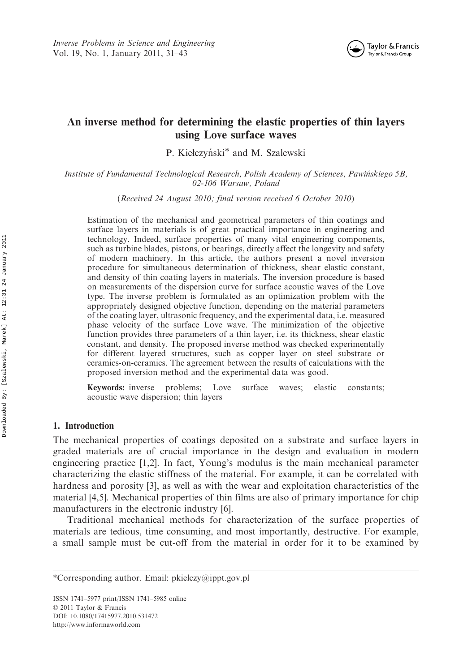

## An inverse method for determining the elastic properties of thin layers using Love surface waves

P. Kiełczyński\* and M. Szalewski

Institute of Fundamental Technological Research, Polish Academy of Sciences, Pawińskiego 5B, 02-106 Warsaw, Poland

(Received 24 August 2010; final version received 6 October 2010)

Estimation of the mechanical and geometrical parameters of thin coatings and surface layers in materials is of great practical importance in engineering and technology. Indeed, surface properties of many vital engineering components, such as turbine blades, pistons, or bearings, directly affect the longevity and safety of modern machinery. In this article, the authors present a novel inversion procedure for simultaneous determination of thickness, shear elastic constant, and density of thin coating layers in materials. The inversion procedure is based on measurements of the dispersion curve for surface acoustic waves of the Love type. The inverse problem is formulated as an optimization problem with the appropriately designed objective function, depending on the material parameters of the coating layer, ultrasonic frequency, and the experimental data, i.e. measured phase velocity of the surface Love wave. The minimization of the objective function provides three parameters of a thin layer, i.e. its thickness, shear elastic constant, and density. The proposed inverse method was checked experimentally for different layered structures, such as copper layer on steel substrate or ceramics-on-ceramics. The agreement between the results of calculations with the proposed inversion method and the experimental data was good.

Keywords: inverse problems; Love surface waves; elastic constants; acoustic wave dispersion; thin layers

## 1. Introduction

The mechanical properties of coatings deposited on a substrate and surface layers in graded materials are of crucial importance in the design and evaluation in modern engineering practice [1,2]. In fact, Young's modulus is the main mechanical parameter characterizing the elastic stiffness of the material. For example, it can be correlated with hardness and porosity [3], as well as with the wear and exploitation characteristics of the material [4,5]. Mechanical properties of thin films are also of primary importance for chip manufacturers in the electronic industry [6].

Traditional mechanical methods for characterization of the surface properties of materials are tedious, time consuming, and most importantly, destructive. For example, a small sample must be cut-off from the material in order for it to be examined by

ISSN 1741–5977 print/ISSN 1741–5985 online © 2011 Taylor & Francis DOI: 10.1080/17415977.2010.531472 http://www.informaworld.com

<sup>\*</sup>Corresponding author. Email: pkielczy@ippt.gov.pl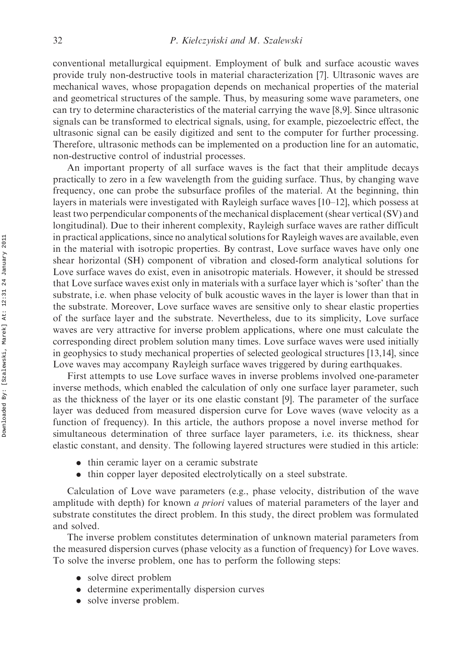conventional metallurgical equipment. Employment of bulk and surface acoustic waves provide truly non-destructive tools in material characterization [7]. Ultrasonic waves are mechanical waves, whose propagation depends on mechanical properties of the material and geometrical structures of the sample. Thus, by measuring some wave parameters, one can try to determine characteristics of the material carrying the wave [8,9]. Since ultrasonic signals can be transformed to electrical signals, using, for example, piezoelectric effect, the ultrasonic signal can be easily digitized and sent to the computer for further processing. Therefore, ultrasonic methods can be implemented on a production line for an automatic, non-destructive control of industrial processes.

An important property of all surface waves is the fact that their amplitude decays practically to zero in a few wavelength from the guiding surface. Thus, by changing wave frequency, one can probe the subsurface profiles of the material. At the beginning, thin layers in materials were investigated with Rayleigh surface waves [10–12], which possess at least two perpendicular components of the mechanical displacement (shear vertical (SV) and longitudinal). Due to their inherent complexity, Rayleigh surface waves are rather difficult in practical applications, since no analytical solutions for Rayleigh waves are available, even in the material with isotropic properties. By contrast, Love surface waves have only one shear horizontal (SH) component of vibration and closed-form analytical solutions for Love surface waves do exist, even in anisotropic materials. However, it should be stressed that Love surface waves exist only in materials with a surface layer which is 'softer' than the substrate, i.e. when phase velocity of bulk acoustic waves in the layer is lower than that in the substrate. Moreover, Love surface waves are sensitive only to shear elastic properties of the surface layer and the substrate. Nevertheless, due to its simplicity, Love surface waves are very attractive for inverse problem applications, where one must calculate the corresponding direct problem solution many times. Love surface waves were used initially in geophysics to study mechanical properties of selected geological structures [13,14], since Love waves may accompany Rayleigh surface waves triggered by during earthquakes.

First attempts to use Love surface waves in inverse problems involved one-parameter inverse methods, which enabled the calculation of only one surface layer parameter, such as the thickness of the layer or its one elastic constant [9]. The parameter of the surface layer was deduced from measured dispersion curve for Love waves (wave velocity as a function of frequency). In this article, the authors propose a novel inverse method for simultaneous determination of three surface layer parameters, i.e. its thickness, shear elastic constant, and density. The following layered structures were studied in this article:

- . thin ceramic layer on a ceramic substrate
- . thin copper layer deposited electrolytically on a steel substrate.

Calculation of Love wave parameters (e.g., phase velocity, distribution of the wave amplitude with depth) for known *a priori* values of material parameters of the layer and substrate constitutes the direct problem. In this study, the direct problem was formulated and solved.

The inverse problem constitutes determination of unknown material parameters from the measured dispersion curves (phase velocity as a function of frequency) for Love waves. To solve the inverse problem, one has to perform the following steps:

- solve direct problem
- . determine experimentally dispersion curves
- solve inverse problem.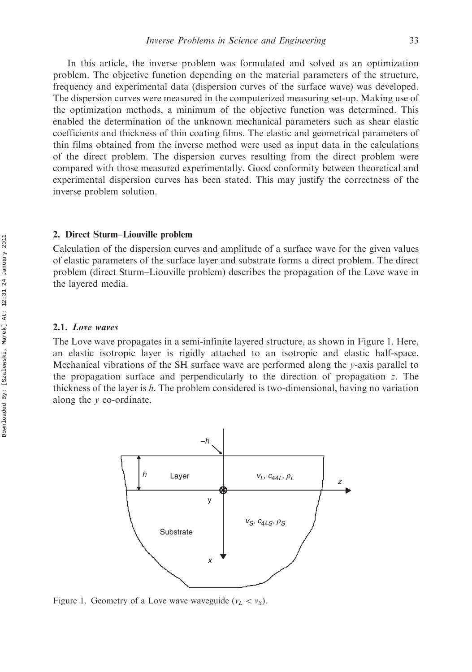In this article, the inverse problem was formulated and solved as an optimization problem. The objective function depending on the material parameters of the structure, frequency and experimental data (dispersion curves of the surface wave) was developed. The dispersion curves were measured in the computerized measuring set-up. Making use of the optimization methods, a minimum of the objective function was determined. This enabled the determination of the unknown mechanical parameters such as shear elastic coefficients and thickness of thin coating films. The elastic and geometrical parameters of thin films obtained from the inverse method were used as input data in the calculations of the direct problem. The dispersion curves resulting from the direct problem were compared with those measured experimentally. Good conformity between theoretical and experimental dispersion curves has been stated. This may justify the correctness of the inverse problem solution.

#### 2. Direct Sturm–Liouville problem

Calculation of the dispersion curves and amplitude of a surface wave for the given values of elastic parameters of the surface layer and substrate forms a direct problem. The direct problem (direct Sturm–Liouville problem) describes the propagation of the Love wave in the layered media.

## 2.1. Love waves

The Love wave propagates in a semi-infinite layered structure, as shown in Figure 1. Here, an elastic isotropic layer is rigidly attached to an isotropic and elastic half-space. Mechanical vibrations of the SH surface wave are performed along the  $\nu$ -axis parallel to the propagation surface and perpendicularly to the direction of propagation z. The thickness of the layer is h. The problem considered is two-dimensional, having no variation along the  $\nu$  co-ordinate.



Figure 1. Geometry of a Love wave waveguide ( $v_L < v_S$ ).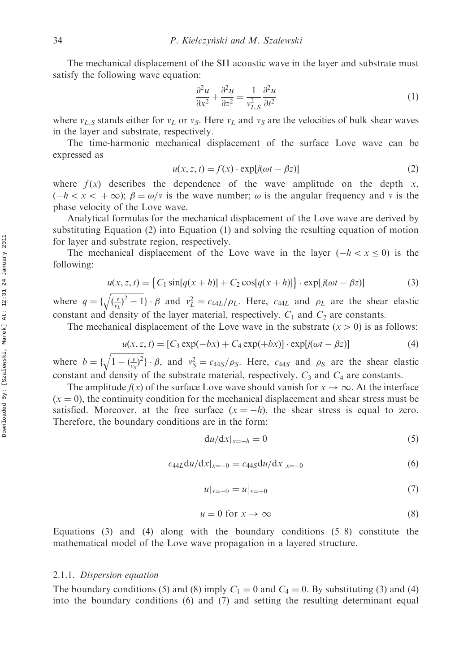The mechanical displacement of the SH acoustic wave in the layer and substrate must satisfy the following wave equation:

$$
\frac{\partial^2 u}{\partial x^2} + \frac{\partial^2 u}{\partial z^2} = \frac{1}{v_{L,S}^2} \frac{\partial^2 u}{\partial t^2}
$$
 (1)

where  $v_{L,S}$  stands either for  $v_L$  or  $v_S$ . Here  $v_L$  and  $v_S$  are the velocities of bulk shear waves in the layer and substrate, respectively.

The time-harmonic mechanical displacement of the surface Love wave can be expressed as

$$
u(x, z, t) = f(x) \cdot \exp[j(\omega t - \beta z)] \tag{2}
$$

where  $f(x)$  describes the dependence of the wave amplitude on the depth x,  $(-h < x < +\infty); \ \beta = \omega/v$  is the wave number;  $\omega$  is the angular frequency and v is the phase velocity of the Love wave.

Analytical formulas for the mechanical displacement of the Love wave are derived by substituting Equation (2) into Equation (1) and solving the resulting equation of motion for layer and substrate region, respectively.

The mechanical displacement of the Love wave in the layer  $(-h < x < 0)$  is the following:

$$
u(x, z, t) = \{C_1 \sin[q(x+h)] + C_2 \cos[q(x+h)]\} \cdot \exp[j(\omega t - \beta z)]
$$
 (3)

where  $q = \{$  $\sqrt{\left(\frac{v}{v_L}\right)^2-1}$  $\cdot \beta$  and  $v_L^2 = c_{44L}/\rho_L$ . Here,  $c_{44L}$  and  $\rho_L$  are the shear elastic constant and density of the layer material, respectively.  $C_1$  and  $C_2$  are constants.

The mechanical displacement of the Love wave in the substrate  $(x>0)$  is as follows:

$$
u(x, z, t) = [C_3 \exp(-bx) + C_4 \exp(+bx)] \cdot \exp[j(\omega t - \beta z)] \tag{4}
$$

where  $b = \{$  $\sqrt{1 - \left(\frac{v}{v_S}\right)^2} \cdot \beta$ , and  $v_S^2 = c_{44S}/\rho_S$ . Here,  $c_{44S}$  and  $\rho_S$  are the shear elastic constant and density of the substrate material, respectively.  $C_3$  and  $C_4$  are constants.

The amplitude  $f(x)$  of the surface Love wave should vanish for  $x \to \infty$ . At the interface  $(x = 0)$ , the continuity condition for the mechanical displacement and shear stress must be satisfied. Moreover, at the free surface  $(x = -h)$ , the shear stress is equal to zero. Therefore, the boundary conditions are in the form:

$$
du/dx|_{x=-h} = 0 \tag{5}
$$

$$
c_{44L} \mathrm{d}u/\mathrm{d}x|_{x=-0} = c_{44S} \mathrm{d}u/\mathrm{d}x|_{x=+0} \tag{6}
$$

$$
u|_{x=-0} = u|_{x=+0} \tag{7}
$$

$$
u = 0 \text{ for } x \to \infty \tag{8}
$$

Equations (3) and (4) along with the boundary conditions  $(5-8)$  constitute the mathematical model of the Love wave propagation in a layered structure.

## 2.1.1. Dispersion equation

The boundary conditions (5) and (8) imply  $C_1 = 0$  and  $C_4 = 0$ . By substituting (3) and (4) into the boundary conditions (6) and (7) and setting the resulting determinant equal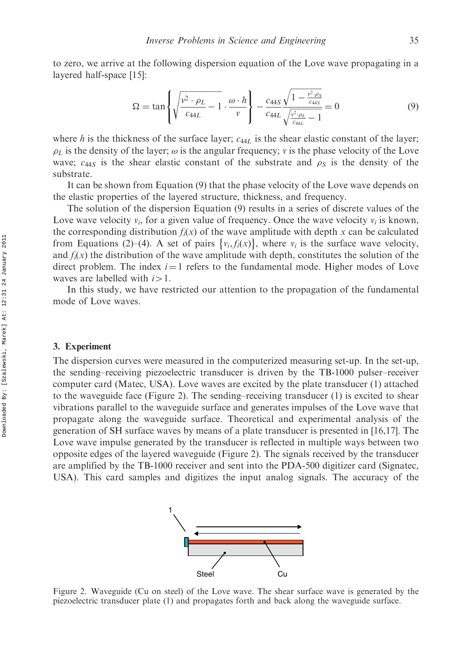to zero, we arrive at the following dispersion equation of the Love wave propagating in a layered half-space [15]:

$$
\Omega = \tan \left\{ \sqrt{\frac{v^2 \cdot \rho_L}{c_{44L}} - 1} \cdot \frac{\omega \cdot h}{v} \right\} - \frac{c_{44S}}{c_{44L}} \frac{\sqrt{1 - \frac{v^2 \cdot \rho_S}{c_{44S}}}}{\sqrt{\frac{v^2 \cdot \rho_L}{c_{44L}} - 1}} = 0 \tag{9}
$$

where h is the thickness of the surface layer;  $c_{44L}$  is the shear elastic constant of the layer;  $\rho_L$  is the density of the layer;  $\omega$  is the angular frequency; v is the phase velocity of the Love wave;  $c_{44S}$  is the shear elastic constant of the substrate and  $\rho_S$  is the density of the substrate.

It can be shown from Equation (9) that the phase velocity of the Love wave depends on the elastic properties of the layered structure, thickness, and frequency.

The solution of the dispersion Equation (9) results in a series of discrete values of the Love wave velocity  $v_i$ , for a given value of frequency. Once the wave velocity  $v_i$  is known, the corresponding distribution  $f_i(x)$  of the wave amplitude with depth x can be calculated from Equations (2)–(4). A set of pairs  $\{v_i, f_i(x)\}$ , where  $v_i$  is the surface wave velocity, and  $f_i(x)$  the distribution of the wave amplitude with depth, constitutes the solution of the direct problem. The index  $i = 1$  refers to the fundamental mode. Higher modes of Love waves are labelled with  $i>1$ .

In this study, we have restricted our attention to the propagation of the fundamental mode of Love waves.

## 3. Experiment

The dispersion curves were measured in the computerized measuring set-up. In the set-up, the sending–receiving piezoelectric transducer is driven by the TB-1000 pulser–receiver computer card (Matec, USA). Love waves are excited by the plate transducer (1) attached to the waveguide face (Figure 2). The sending–receiving transducer (1) is excited to shear vibrations parallel to the waveguide surface and generates impulses of the Love wave that propagate along the waveguide surface. Theoretical and experimental analysis of the generation of SH surface waves by means of a plate transducer is presented in [16,17]. The Love wave impulse generated by the transducer is reflected in multiple ways between two opposite edges of the layered waveguide (Figure 2). The signals received by the transducer are amplified by the TB-1000 receiver and sent into the PDA-500 digitizer card (Signatec, USA). This card samples and digitizes the input analog signals. The accuracy of the



Figure 2. Waveguide (Cu on steel) of the Love wave. The shear surface wave is generated by the piezoelectric transducer plate (1) and propagates forth and back along the waveguide surface.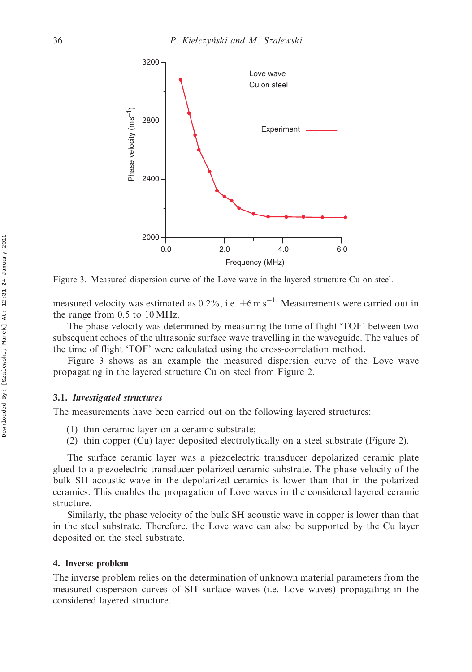

Figure 3. Measured dispersion curve of the Love wave in the layered structure Cu on steel.

measured velocity was estimated as  $0.2\%$ , i.e.  $\pm 6$  m s<sup>-1</sup>. Measurements were carried out in the range from 0.5 to 10 MHz.

The phase velocity was determined by measuring the time of flight 'TOF' between two subsequent echoes of the ultrasonic surface wave travelling in the waveguide. The values of the time of flight 'TOF' were calculated using the cross-correlation method.

Figure 3 shows as an example the measured dispersion curve of the Love wave propagating in the layered structure Cu on steel from Figure 2.

## 3.1. Investigated structures

The measurements have been carried out on the following layered structures:

- (1) thin ceramic layer on a ceramic substrate;
- (2) thin copper (Cu) layer deposited electrolytically on a steel substrate (Figure 2).

The surface ceramic layer was a piezoelectric transducer depolarized ceramic plate glued to a piezoelectric transducer polarized ceramic substrate. The phase velocity of the bulk SH acoustic wave in the depolarized ceramics is lower than that in the polarized ceramics. This enables the propagation of Love waves in the considered layered ceramic structure.

Similarly, the phase velocity of the bulk SH acoustic wave in copper is lower than that in the steel substrate. Therefore, the Love wave can also be supported by the Cu layer deposited on the steel substrate.

## 4. Inverse problem

The inverse problem relies on the determination of unknown material parameters from the measured dispersion curves of SH surface waves (i.e. Love waves) propagating in the considered layered structure.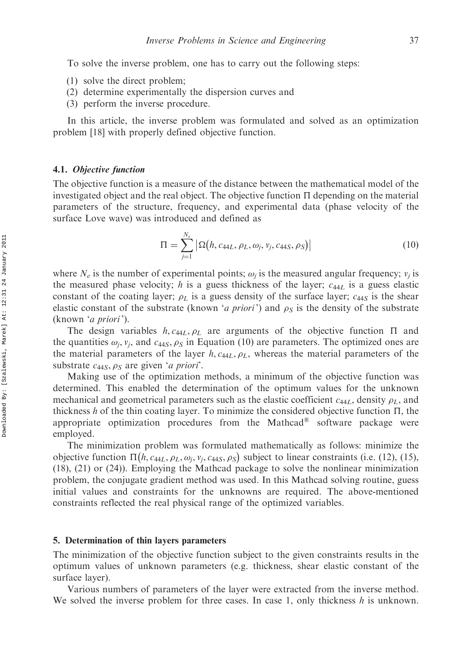To solve the inverse problem, one has to carry out the following steps:

- (1) solve the direct problem;
- (2) determine experimentally the dispersion curves and
- (3) perform the inverse procedure.

In this article, the inverse problem was formulated and solved as an optimization problem [18] with properly defined objective function.

## 4.1. Objective function

The objective function is a measure of the distance between the mathematical model of the investigated object and the real object. The objective function  $\Pi$  depending on the material parameters of the structure, frequency, and experimental data (phase velocity of the surface Love wave) was introduced and defined as

$$
\Pi = \sum_{j=1}^{N_e} \left| \Omega\big(h, c_{44L}, \rho_L, \omega_j, v_j, c_{44S}, \rho_S\big) \right| \tag{10}
$$

where  $N_e$  is the number of experimental points;  $\omega_i$  is the measured angular frequency;  $v_i$  is the measured phase velocity; h is a guess thickness of the layer;  $c_{44L}$  is a guess elastic constant of the coating layer;  $\rho_L$  is a guess density of the surface layer;  $c_{44S}$  is the shear elastic constant of the substrate (known '*a priori*') and  $\rho_s$  is the density of the substrate (known 'a priori ').

The design variables  $h, c_{44L}, \rho_L$  are arguments of the objective function  $\Pi$  and the quantities  $\omega_i$ ,  $v_i$ , and  $c_{44S}$ ,  $\rho_S$  in Equation (10) are parameters. The optimized ones are the material parameters of the layer  $h$ ,  $c_{44L}$ ,  $\rho_L$ , whereas the material parameters of the substrate  $c_{44S}$ ,  $\rho_S$  are given '*a priori*'.

Making use of the optimization methods, a minimum of the objective function was determined. This enabled the determination of the optimum values for the unknown mechanical and geometrical parameters such as the elastic coefficient  $c_{44L}$ , density  $\rho_L$ , and thickness h of the thin coating layer. To minimize the considered objective function  $\Pi$ , the appropriate optimization procedures from the Mathcad<sup>®</sup> software package were employed.

The minimization problem was formulated mathematically as follows: minimize the objective function  $\Pi(h, c_{44L}, \rho_L, \omega_j, v_j, c_{44S}, \rho_S)$  subject to linear constraints (i.e. (12), (15), (18), (21) or (24)). Employing the Mathcad package to solve the nonlinear minimization problem, the conjugate gradient method was used. In this Mathcad solving routine, guess initial values and constraints for the unknowns are required. The above-mentioned constraints reflected the real physical range of the optimized variables.

#### 5. Determination of thin layers parameters

The minimization of the objective function subject to the given constraints results in the optimum values of unknown parameters (e.g. thickness, shear elastic constant of the surface layer).

Various numbers of parameters of the layer were extracted from the inverse method. We solved the inverse problem for three cases. In case 1, only thickness h is unknown.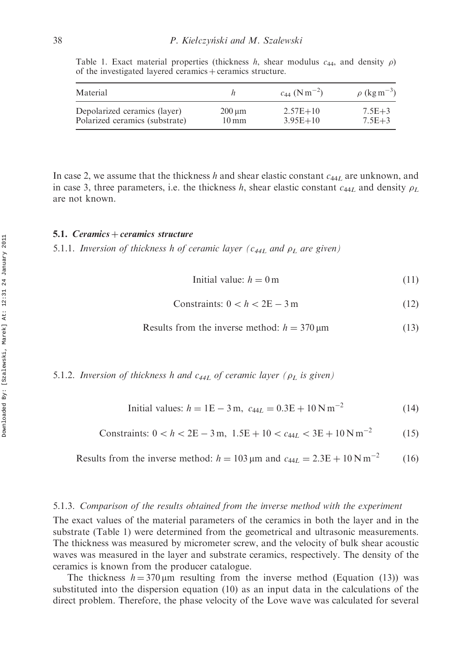| Material                       |                    | $c_{44}$ (N m <sup>-2</sup> ) | $\rho$ (kg m <sup>-3</sup> ) |
|--------------------------------|--------------------|-------------------------------|------------------------------|
| Depolarized ceramics (layer)   | $200 \mu m$        | $2.57E+10$                    | $7.5E + 3$                   |
| Polarized ceramics (substrate) | $10 \,\mathrm{mm}$ | $3.95E+10$                    | $7.5E + 3$                   |

Table 1. Exact material properties (thickness h, shear modulus  $c_{44}$ , and density  $\rho$ ) of the investigated layered ceramics + ceramics structure.

In case 2, we assume that the thickness h and shear elastic constant  $c_{44}$  are unknown, and in case 3, three parameters, i.e. the thickness h, shear elastic constant  $c_{44L}$  and density  $\rho_L$ are not known.

## 5.1. Ceramics  $+$  ceramics structure

5.1.1. Inversion of thickness h of ceramic layer ( $c_{44L}$  and  $\rho_L$  are given)

Initial value: 
$$
h = 0 \,\text{m}
$$
 (11)

$$
Constraints: 0 < h < 2E - 3m \tag{12}
$$

Results from the inverse method: 
$$
h = 370 \,\mu\text{m}
$$
 (13)

5.1.2. Inversion of thickness h and  $c_{44L}$  of ceramic layer ( $\rho_L$  is given)

Initial values: 
$$
h = 1E - 3m
$$
,  $c_{44L} = 0.3E + 10 N m^{-2}$  (14)

Constraints: 
$$
0 < h < 2E - 3m
$$
,  $1.5E + 10 < c_{44L} < 3E + 10 N m^{-2}$  (15)

Results from the inverse method:  $h = 103 \,\mu \text{m}$  and  $c_{44L} = 2.3E + 10 \,\text{N m}^{-2}$  (16)

## 5.1.3. Comparison of the results obtained from the inverse method with the experiment

The exact values of the material parameters of the ceramics in both the layer and in the substrate (Table 1) were determined from the geometrical and ultrasonic measurements. The thickness was measured by micrometer screw, and the velocity of bulk shear acoustic waves was measured in the layer and substrate ceramics, respectively. The density of the ceramics is known from the producer catalogue.

The thickness  $h = 370 \,\mu m$  resulting from the inverse method (Equation (13)) was substituted into the dispersion equation (10) as an input data in the calculations of the direct problem. Therefore, the phase velocity of the Love wave was calculated for several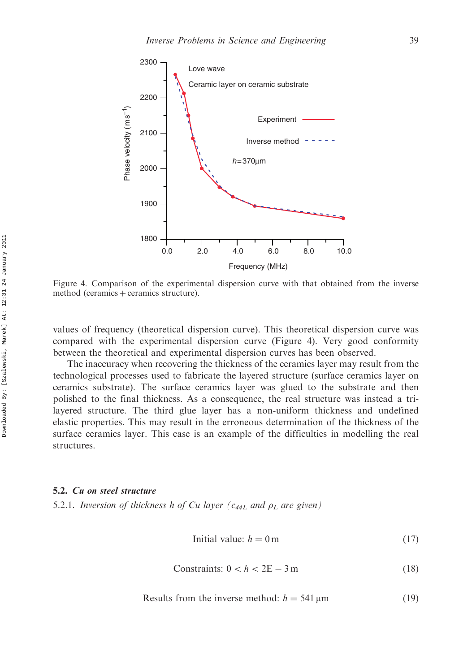

Figure 4. Comparison of the experimental dispersion curve with that obtained from the inverse method (ceramics + ceramics structure).

values of frequency (theoretical dispersion curve). This theoretical dispersion curve was compared with the experimental dispersion curve (Figure 4). Very good conformity between the theoretical and experimental dispersion curves has been observed.

The inaccuracy when recovering the thickness of the ceramics layer may result from the technological processes used to fabricate the layered structure (surface ceramics layer on ceramics substrate). The surface ceramics layer was glued to the substrate and then polished to the final thickness. As a consequence, the real structure was instead a trilayered structure. The third glue layer has a non-uniform thickness and undefined elastic properties. This may result in the erroneous determination of the thickness of the surface ceramics layer. This case is an example of the difficulties in modelling the real structures.

## 5.2. Cu on steel structure

5.2.1. Inversion of thickness h of Cu layer ( $c_{44L}$  and  $\rho_L$  are given)

Initial value: 
$$
h = 0 \,\text{m}
$$
 (17)

$$
Constraints: 0 < h < 2E - 3m \tag{18}
$$

Results from the inverse method:  $h = 541 \,\text{\mu m}$  (19)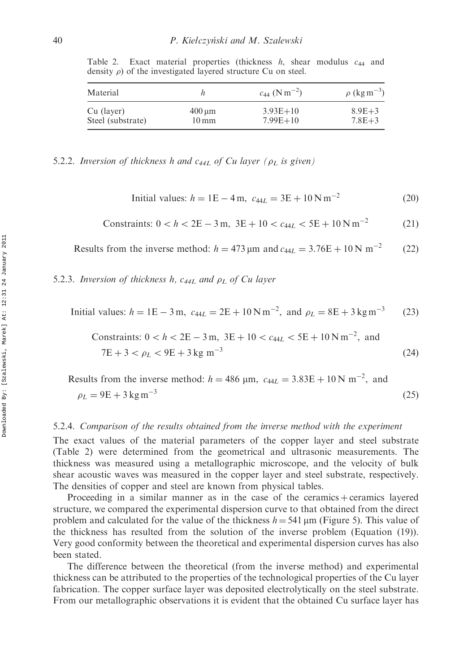| Material          |                          | $c_{44}$ (N m <sup>-2</sup> ) | $\rho$ (kg m <sup>-3</sup> ) |
|-------------------|--------------------------|-------------------------------|------------------------------|
| Cu (layer)        | $400 \,\mathrm{\upmu m}$ | $3.93E+10$                    | $8.9E + 3$                   |
| Steel (substrate) | $10 \,\mathrm{mm}$       | $7.99E+10$                    | $7.8E + 3$                   |

Table 2. Exact material properties (thickness  $h$ , shear modulus  $c_{44}$  and density  $\rho$ ) of the investigated layered structure Cu on steel.

## 5.2.2. Inversion of thickness h and  $c_{44L}$  of Cu layer ( $\rho_L$  is given)

Initial values: 
$$
h = 1E - 4m
$$
,  $c_{44L} = 3E + 10 N m^{-2}$  (20)

Constraints: 
$$
0 < h < 2E - 3m
$$
,  $3E + 10 < c_{44L} < 5E + 10 N m^{-2}$  (21)

Results from the inverse method: 
$$
h = 473 \,\mu\text{m}
$$
 and  $c_{44L} = 3.76E + 10 \,\text{N m}^{-2}$  (22)

5.2.3. Inversion of thickness h,  $c_{44L}$  and  $\rho_L$  of Cu layer

Initial values: 
$$
h = 1E - 3m
$$
,  $c_{44L} = 2E + 10 \text{ N m}^{-2}$ , and  $\rho_L = 8E + 3 \text{ kg m}^{-3}$  (23)

Constraints: 
$$
0 < h < 2E - 3m
$$
,  $3E + 10 < c_{44L} < 5E + 10 N m^{-2}$ , and  
  $7E + 3 < \rho_L < 9E + 3 kg m^{-3}$  (24)

Results from the inverse method:  $h = 486 \text{ µm}$ ,  $c_{44L} = 3.83E + 10 \text{ N m}^{-2}$ , and  $\rho_L = 9E + 3 \,\text{kg m}^{-3}$  (25)

#### 5.2.4. Comparison of the results obtained from the inverse method with the experiment

The exact values of the material parameters of the copper layer and steel substrate (Table 2) were determined from the geometrical and ultrasonic measurements. The thickness was measured using a metallographic microscope, and the velocity of bulk shear acoustic waves was measured in the copper layer and steel substrate, respectively. The densities of copper and steel are known from physical tables.

Proceeding in a similar manner as in the case of the ceramics + ceramics layered structure, we compared the experimental dispersion curve to that obtained from the direct problem and calculated for the value of the thickness  $h = 541 \,\mu m$  (Figure 5). This value of the thickness has resulted from the solution of the inverse problem (Equation (19)). Very good conformity between the theoretical and experimental dispersion curves has also been stated.

The difference between the theoretical (from the inverse method) and experimental thickness can be attributed to the properties of the technological properties of the Cu layer fabrication. The copper surface layer was deposited electrolytically on the steel substrate. From our metallographic observations it is evident that the obtained Cu surface layer has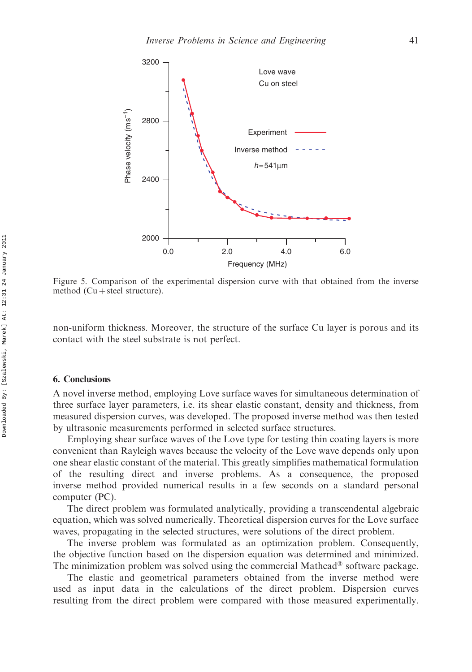

Figure 5. Comparison of the experimental dispersion curve with that obtained from the inverse method  $(Cu + steel$  structure).

non-uniform thickness. Moreover, the structure of the surface Cu layer is porous and its contact with the steel substrate is not perfect.

## 6. Conclusions

A novel inverse method, employing Love surface waves for simultaneous determination of three surface layer parameters, i.e. its shear elastic constant, density and thickness, from measured dispersion curves, was developed. The proposed inverse method was then tested by ultrasonic measurements performed in selected surface structures.

Employing shear surface waves of the Love type for testing thin coating layers is more convenient than Rayleigh waves because the velocity of the Love wave depends only upon one shear elastic constant of the material. This greatly simplifies mathematical formulation of the resulting direct and inverse problems. As a consequence, the proposed inverse method provided numerical results in a few seconds on a standard personal computer (PC).

The direct problem was formulated analytically, providing a transcendental algebraic equation, which was solved numerically. Theoretical dispersion curves for the Love surface waves, propagating in the selected structures, were solutions of the direct problem.

The inverse problem was formulated as an optimization problem. Consequently, the objective function based on the dispersion equation was determined and minimized. The minimization problem was solved using the commercial Mathcad<sup>®</sup> software package.

The elastic and geometrical parameters obtained from the inverse method were used as input data in the calculations of the direct problem. Dispersion curves resulting from the direct problem were compared with those measured experimentally.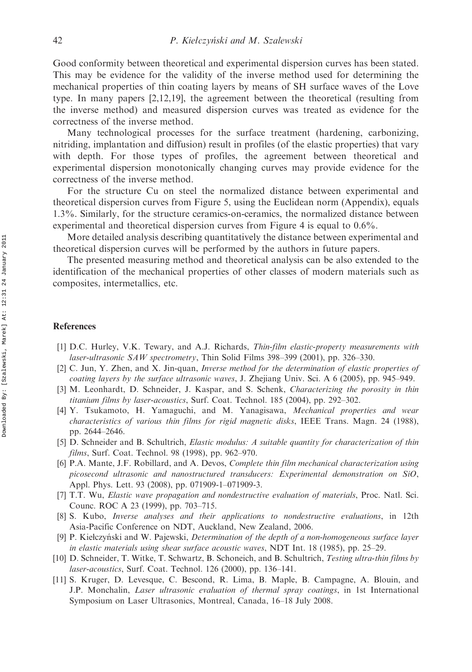Good conformity between theoretical and experimental dispersion curves has been stated. This may be evidence for the validity of the inverse method used for determining the mechanical properties of thin coating layers by means of SH surface waves of the Love type. In many papers [2,12,19], the agreement between the theoretical (resulting from the inverse method) and measured dispersion curves was treated as evidence for the correctness of the inverse method.

Many technological processes for the surface treatment (hardening, carbonizing, nitriding, implantation and diffusion) result in profiles (of the elastic properties) that vary with depth. For those types of profiles, the agreement between theoretical and experimental dispersion monotonically changing curves may provide evidence for the correctness of the inverse method.

For the structure Cu on steel the normalized distance between experimental and theoretical dispersion curves from Figure 5, using the Euclidean norm (Appendix), equals 1.3%. Similarly, for the structure ceramics-on-ceramics, the normalized distance between experimental and theoretical dispersion curves from Figure 4 is equal to 0.6%.

More detailed analysis describing quantitatively the distance between experimental and theoretical dispersion curves will be performed by the authors in future papers.

The presented measuring method and theoretical analysis can be also extended to the identification of the mechanical properties of other classes of modern materials such as composites, intermetallics, etc.

## References

- [1] D.C. Hurley, V.K. Tewary, and A.J. Richards, Thin-film elastic-property measurements with laser-ultrasonic SAW spectrometry, Thin Solid Films 398–399 (2001), pp. 326–330.
- [2] C. Jun, Y. Zhen, and X. Jin-quan, Inverse method for the determination of elastic properties of coating layers by the surface ultrasonic waves, J. Zhejiang Univ. Sci. A 6 (2005), pp. 945–949.
- [3] M. Leonhardt, D. Schneider, J. Kaspar, and S. Schenk, Characterizing the porosity in thin titanium films by laser-acoustics, Surf. Coat. Technol. 185 (2004), pp. 292–302.
- [4] Y. Tsukamoto, H. Yamaguchi, and M. Yanagisawa, Mechanical properties and wear characteristics of various thin films for rigid magnetic disks, IEEE Trans. Magn. 24 (1988), pp. 2644–2646.
- [5] D. Schneider and B. Schultrich, Elastic modulus: A suitable quantity for characterization of thin films, Surf. Coat. Technol. 98 (1998), pp. 962-970.
- [6] P.A. Mante, J.F. Robillard, and A. Devos, Complete thin film mechanical characterization using picosecond ultrasonic and nanostructured transducers: Experimental demonstration on SiO, Appl. Phys. Lett. 93 (2008), pp. 071909-1–071909-3.
- [7] T.T. Wu, Elastic wave propagation and nondestructive evaluation of materials, Proc. Natl. Sci. Counc. ROC A 23 (1999), pp. 703–715.
- [8] S. Kubo, Inverse analyses and their applications to nondestructive evaluations, in 12th Asia-Pacific Conference on NDT, Auckland, New Zealand, 2006.
- [9] P. Kielczyński and W. Pajewski, Determination of the depth of a non-homogeneous surface layer in elastic materials using shear surface acoustic waves, NDT Int. 18 (1985), pp. 25–29.
- [10] D. Schneider, T. Witke, T. Schwartz, B. Schoneich, and B. Schultrich, Testing ultra-thin films by laser-acoustics, Surf. Coat. Technol. 126 (2000), pp. 136–141.
- [11] S. Kruger, D. Levesque, C. Bescond, R. Lima, B. Maple, B. Campagne, A. Blouin, and J.P. Monchalin, Laser ultrasonic evaluation of thermal spray coatings, in 1st International Symposium on Laser Ultrasonics, Montreal, Canada, 16–18 July 2008.